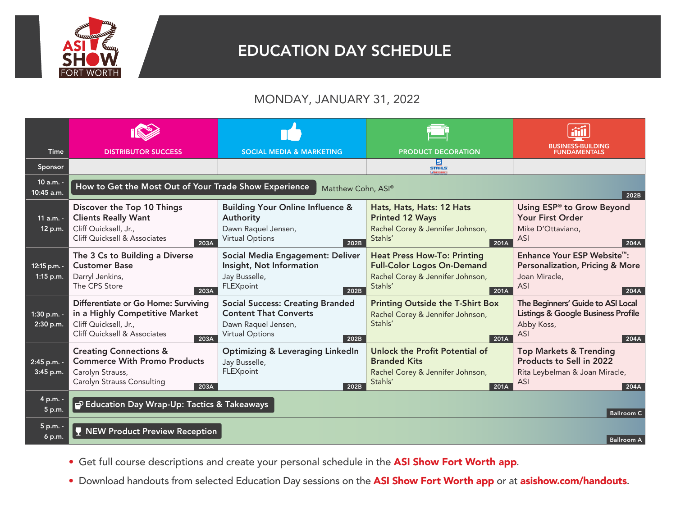

## EDUCATION DAY SCHEDULE

## MONDAY, JANUARY 31, 2022

| <b>Time</b>                 | <b>DISTRIBUTOR SUCCESS</b>                                                                                                             | <b>SOCIAL MEDIA &amp; MARKETING</b>                                                                                              | <b>PRODUCT DECORATION</b>                                                                                                      | BUSINESS-BUILDING<br>FUNDAMENTALS                                                                                            |  |  |
|-----------------------------|----------------------------------------------------------------------------------------------------------------------------------------|----------------------------------------------------------------------------------------------------------------------------------|--------------------------------------------------------------------------------------------------------------------------------|------------------------------------------------------------------------------------------------------------------------------|--|--|
| Sponsor                     |                                                                                                                                        |                                                                                                                                  | Е<br><b>STAHLS:</b><br><b>La TRANSPER EXPRE</b>                                                                                |                                                                                                                              |  |  |
| 10 a.m. -<br>10:45 a.m.     | How to Get the Most Out of Your Trade Show Experience<br>Matthew Cohn, ASI®<br>202B                                                    |                                                                                                                                  |                                                                                                                                |                                                                                                                              |  |  |
| $11$ a.m. -<br>12 p.m.      | Discover the Top 10 Things<br><b>Clients Really Want</b><br>Cliff Quicksell, Jr.,<br>Cliff Quicksell & Associates<br>203A              | <b>Building Your Online Influence &amp;</b><br>Authority<br>Dawn Raquel Jensen,<br><b>Virtual Options</b><br>202B                | Hats, Hats, Hats: 12 Hats<br><b>Printed 12 Ways</b><br>Rachel Corey & Jennifer Johnson,<br>Stahls'<br>201A                     | Using ESP® to Grow Beyond<br>Your First Order<br>Mike D'Ottaviano,<br><b>ASI</b><br>204A                                     |  |  |
| 12:15 p.m. -<br>$1:15$ p.m. | The 3 Cs to Building a Diverse<br><b>Customer Base</b><br>Darryl Jenkins,<br>The CPS Store<br>203A                                     | Social Media Engagement: Deliver<br>Insight, Not Information<br>Jay Busselle,<br>FLEXpoint<br>202B                               | <b>Heat Press How-To: Printing</b><br><b>Full-Color Logos On-Demand</b><br>Rachel Corey & Jennifer Johnson,<br>Stahls'<br>201A | Enhance Your ESP Website <sup>™</sup> :<br><b>Personalization, Pricing &amp; More</b><br>Joan Miracle,<br><b>ASI</b><br>204A |  |  |
| 1:30 p.m. -<br>2:30 p.m.    | Differentiate or Go Home: Surviving<br>in a Highly Competitive Market<br>Cliff Quicksell, Jr.,<br>Cliff Quicksell & Associates<br>203A | <b>Social Success: Creating Branded</b><br><b>Content That Converts</b><br>Dawn Raquel Jensen,<br><b>Virtual Options</b><br>202B | <b>Printing Outside the T-Shirt Box</b><br>Rachel Corey & Jennifer Johnson,<br>Stahls'<br>201A                                 | The Beginners' Guide to ASI Local<br>Listings & Google Business Profile<br>Abby Koss,<br><b>ASI</b><br>204A                  |  |  |
| 2:45 p.m. -<br>3:45 p.m.    | <b>Creating Connections &amp;</b><br><b>Commerce With Promo Products</b><br>Carolyn Strauss,<br>Carolyn Strauss Consulting<br>203A     | <b>Optimizing &amp; Leveraging LinkedIn</b><br>Jay Busselle,<br>FLEXpoint<br>202B                                                | Unlock the Profit Potential of<br><b>Branded Kits</b><br>Rachel Corey & Jennifer Johnson,<br>Stahls'<br>201A                   | <b>Top Markets &amp; Trending</b><br>Products to Sell in 2022<br>Rita Leybelman & Joan Miracle,<br>ASI<br>204A               |  |  |
| 4 p.m. -<br>5 p.m.          | P Education Day Wrap-Up: Tactics & Takeaways<br><b>Ballroom C</b>                                                                      |                                                                                                                                  |                                                                                                                                |                                                                                                                              |  |  |
| 5 p.m. -<br>6 p.m.          | <b>NEW Product Preview Reception</b>                                                                                                   |                                                                                                                                  |                                                                                                                                | <b>Ballroom A</b>                                                                                                            |  |  |

- Get full course descriptions and create your personal schedule in the ASI Show Fort Worth app.
- Download handouts from selected Education Day sessions on the ASI Show Fort Worth app or at asishow.com/handouts.